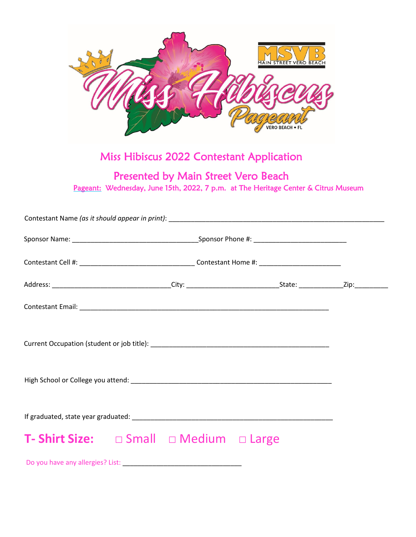

## Miss Hibiscus 2022 Contestant Application

## Presented by Main Street Vero Beach

Pageant: Wednesday, June 15th, 2022, 7 p.m. at The Heritage Center & Citrus Museum

| <b>T- Shirt Size:</b> $\Box$ Small $\Box$ Medium $\Box$ Large |  |  |  |
|---------------------------------------------------------------|--|--|--|
|                                                               |  |  |  |